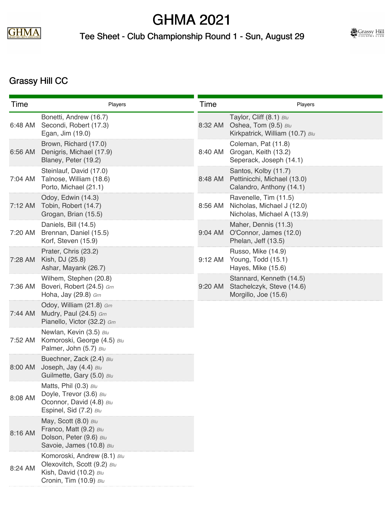

## GHMA 2021

## Tee Sheet - Club Championship Round 1 - Sun, August 29



## Grassy Hill CC

| Time    | Players                                                                                                        | Time    | Players                                                                            |
|---------|----------------------------------------------------------------------------------------------------------------|---------|------------------------------------------------------------------------------------|
| 6:48 AM | Bonetti, Andrew (16.7)<br>Secondi, Robert (17.3)<br>Egan, Jim (19.0)                                           | 8:32 AM | Taylor, Cliff (8.1) Blu<br>Oshea, Tom (9.5) Blu<br>Kirkpatrick, William (10.7) Blu |
| 6:56 AM | Brown, Richard (17.0)<br>Denigris, Michael (17.9)<br>Blaney, Peter (19.2)                                      | 8:40 AM | Coleman, Pat (11.8)<br>Grogan, Keith (13.2)<br>Seperack, Joseph (14.1)             |
| 7:04 AM | Steinlauf, David (17.0)<br>Talnose, William (18.6)<br>Porto, Michael (21.1)                                    | 8:48 AM | Santos, Kolby (11.7)<br>Pettinicchi, Michael (13.0)<br>Calandro, Anthony (14.1)    |
| 7:12 AM | Odoy, Edwin (14.3)<br>Tobin, Robert (14.7)<br>Grogan, Brian (15.5)                                             | 8:56 AM | Ravenelle, Tim (11.5)<br>Nicholas, Michael J (12.0)<br>Nicholas, Michael A (13.9)  |
| 7:20 AM | Daniels, Bill (14.5)<br>Brennan, Daniel (15.5)<br>Korf, Steven (15.9)                                          | 9:04 AM | Maher, Dennis (11.3)<br>O'Connor, James (12.0)<br>Phelan, Jeff (13.5)              |
| 7:28 AM | Prater, Chris (23.2)<br>Kish, DJ (25.8)<br>Ashar, Mayank (26.7)                                                | 9:12 AM | Russo, Mike (14.9)<br>Young, Todd (15.1)<br>Hayes, Mike (15.6)                     |
| 7:36 AM | Wilhem, Stephen (20.8)<br>Boveri, Robert (24.5) Grn<br>Hoha, Jay (29.8) Grn                                    | 9:20 AM | Stannard, Kenneth (14.5)<br>Stachelczyk, Steve (14.6)<br>Morgillo, Joe (15.6)      |
| 7:44 AM | Odoy, William (21.8) Grn<br>Mudry, Paul (24.5) Grn<br>Pianello, Victor (32.2) Grn                              |         |                                                                                    |
| 7:52 AM | Newlan, Kevin (3.5) Blu<br>Komoroski, George (4.5) Blu<br>Palmer, John (5.7) Blu                               |         |                                                                                    |
| 8:00 AM | Buechner, Zack (2.4) Blu<br>Joseph, Jay (4.4) Blu<br>Guilmette, Gary (5.0) Blu                                 |         |                                                                                    |
| 8:08 AM | Matts, Phil (0.3) Blu<br>Doyle, Trevor (3.6) Blu<br>Oconnor, David (4.8) Blu<br>Espinel, Sid (7.2) Blu         |         |                                                                                    |
| 8:16 AM | May, Scott (8.0) Blu<br>Franco, Matt (9.2) Blu<br>Dolson, Peter (9.6) Blu<br>Savoie, James (10.8) Blu          |         |                                                                                    |
| 8:24 AM | Komoroski, Andrew (8.1) Blu<br>Olexovitch, Scott (9.2) Blu<br>Kish, David (10.2) Blu<br>Cronin, Tim (10.9) Blu |         |                                                                                    |